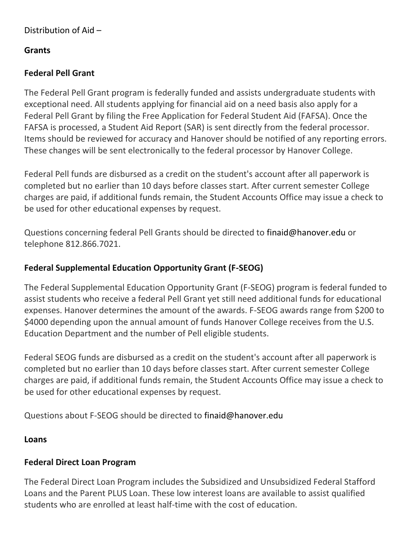### **Grants**

# **Federal Pell Grant**

The Federal Pell Grant program is federally funded and assists undergraduate students with exceptional need. All students applying for financial aid on a need basis also apply for a Federal Pell Grant by filing the Free Application for Federal Student Aid (FAFSA). Once the FAFSA is processed, a Student Aid Report (SAR) is sent directly from the federal processor. Items should be reviewed for accuracy and Hanover should be notified of any reporting errors. These changes will be sent electronically to the federal processor by Hanover College.

Federal Pell funds are disbursed as a credit on the student's account after all paperwork is completed but no earlier than 10 days before classes start. After current semester College charges are paid, if additional funds remain, the Student Accounts Office may issue a check to be used for other educational expenses by request.

Questions concerning federal Pell Grants should be directed to finaid@hanover.edu or telephone 812.866.7021.

# **Federal Supplemental Education Opportunity Grant (F-SEOG)**

The Federal Supplemental Education Opportunity Grant (F-SEOG) program is federal funded to assist students who receive a federal Pell Grant yet still need additional funds for educational expenses. Hanover determines the amount of the awards. F-SEOG awards range from \$200 to \$4000 depending upon the annual amount of funds Hanover College receives from the U.S. Education Department and the number of Pell eligible students.

Federal SEOG funds are disbursed as a credit on the student's account after all paperwork is completed but no earlier than 10 days before classes start. After current semester College charges are paid, if additional funds remain, the Student Accounts Office may issue a check to be used for other educational expenses by request.

Questions about F-SEOG should be directed to finaid@hanover.edu

#### **Loans**

# **Federal Direct Loan Program**

The Federal Direct Loan Program includes the Subsidized and Unsubsidized Federal Stafford Loans and the Parent PLUS Loan. These low interest loans are available to assist qualified students who are enrolled at least half-time with the cost of education.